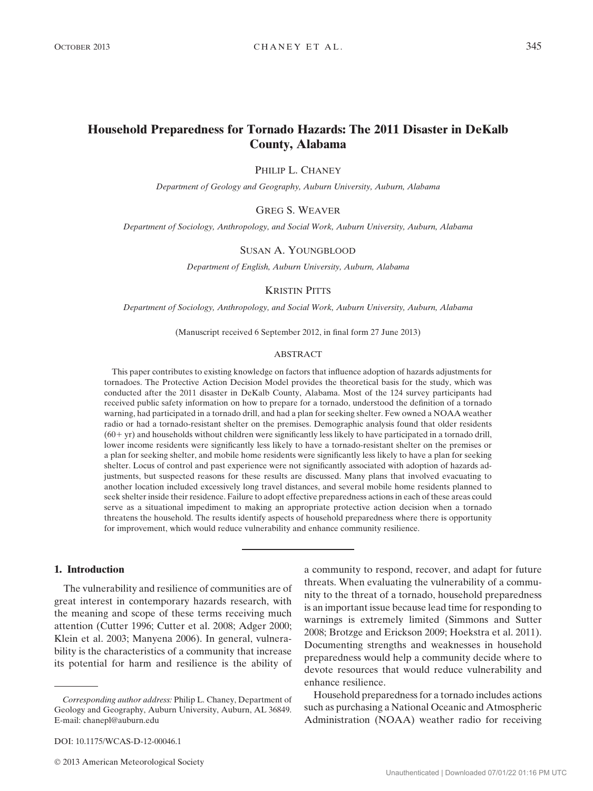# Household Preparedness for Tornado Hazards: The 2011 Disaster in DeKalb County, Alabama

PHILIP L. CHANEY

Department of Geology and Geography, Auburn University, Auburn, Alabama

GREG S. WEAVER

Department of Sociology, Anthropology, and Social Work, Auburn University, Auburn, Alabama

#### SUSAN A. YOUNGBLOOD

Department of English, Auburn University, Auburn, Alabama

#### KRISTIN PITTS

Department of Sociology, Anthropology, and Social Work, Auburn University, Auburn, Alabama

(Manuscript received 6 September 2012, in final form 27 June 2013)

#### ABSTRACT

This paper contributes to existing knowledge on factors that influence adoption of hazards adjustments for tornadoes. The Protective Action Decision Model provides the theoretical basis for the study, which was conducted after the 2011 disaster in DeKalb County, Alabama. Most of the 124 survey participants had received public safety information on how to prepare for a tornado, understood the definition of a tornado warning, had participated in a tornado drill, and had a plan for seeking shelter. Few owned a NOAA weather radio or had a tornado-resistant shelter on the premises. Demographic analysis found that older residents  $(60+yr)$  and households without children were significantly less likely to have participated in a tornado drill, lower income residents were significantly less likely to have a tornado-resistant shelter on the premises or a plan for seeking shelter, and mobile home residents were significantly less likely to have a plan for seeking shelter. Locus of control and past experience were not significantly associated with adoption of hazards adjustments, but suspected reasons for these results are discussed. Many plans that involved evacuating to another location included excessively long travel distances, and several mobile home residents planned to seek shelter inside their residence. Failure to adopt effective preparedness actions in each of these areas could serve as a situational impediment to making an appropriate protective action decision when a tornado threatens the household. The results identify aspects of household preparedness where there is opportunity for improvement, which would reduce vulnerability and enhance community resilience.

## 1. Introduction

The vulnerability and resilience of communities are of great interest in contemporary hazards research, with the meaning and scope of these terms receiving much attention (Cutter 1996; Cutter et al. 2008; Adger 2000; Klein et al. 2003; Manyena 2006). In general, vulnerability is the characteristics of a community that increase its potential for harm and resilience is the ability of

a community to respond, recover, and adapt for future threats. When evaluating the vulnerability of a community to the threat of a tornado, household preparedness is an important issue because lead time for responding to warnings is extremely limited (Simmons and Sutter 2008; Brotzge and Erickson 2009; Hoekstra et al. 2011). Documenting strengths and weaknesses in household preparedness would help a community decide where to devote resources that would reduce vulnerability and enhance resilience.

Household preparedness for a tornado includes actions such as purchasing a National Oceanic and Atmospheric Administration (NOAA) weather radio for receiving

Corresponding author address: Philip L. Chaney, Department of Geology and Geography, Auburn University, Auburn, AL 36849. E-mail: [chanepl@auburn.edu](mailto:chanepl@auburn.edu)

DOI: 10.1175/WCAS-D-12-00046.1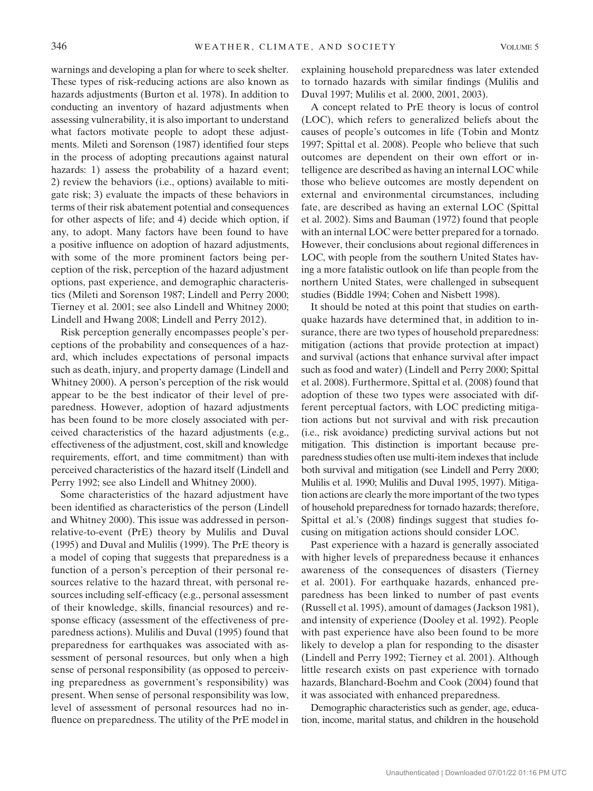warnings and developing a plan for where to seek shelter. These types of risk-reducing actions are also known as hazards adjustments (Burton et al. 1978). In addition to conducting an inventory of hazard adjustments when assessing vulnerability, it is also important to understand what factors motivate people to adopt these adjustments. Mileti and Sorenson (1987) identified four steps in the process of adopting precautions against natural hazards: 1) assess the probability of a hazard event; 2) review the behaviors (i.e., options) available to mitigate risk; 3) evaluate the impacts of these behaviors in terms of their risk abatement potential and consequences for other aspects of life; and 4) decide which option, if any, to adopt. Many factors have been found to have a positive influence on adoption of hazard adjustments, with some of the more prominent factors being perception of the risk, perception of the hazard adjustment options, past experience, and demographic characteristics (Mileti and Sorenson 1987; Lindell and Perry 2000; Tierney et al. 2001; see also Lindell and Whitney 2000; Lindell and Hwang 2008; Lindell and Perry 2012).

Risk perception generally encompasses people's perceptions of the probability and consequences of a hazard, which includes expectations of personal impacts such as death, injury, and property damage (Lindell and Whitney 2000). A person's perception of the risk would appear to be the best indicator of their level of preparedness. However, adoption of hazard adjustments has been found to be more closely associated with perceived characteristics of the hazard adjustments (e.g., effectiveness of the adjustment, cost, skill and knowledge requirements, effort, and time commitment) than with perceived characteristics of the hazard itself (Lindell and Perry 1992; see also Lindell and Whitney 2000).

Some characteristics of the hazard adjustment have been identified as characteristics of the person (Lindell and Whitney 2000). This issue was addressed in personrelative-to-event (PrE) theory by Mulilis and Duval (1995) and Duval and Mulilis (1999). The PrE theory is a model of coping that suggests that preparedness is a function of a person's perception of their personal resources relative to the hazard threat, with personal resources including self-efficacy (e.g., personal assessment of their knowledge, skills, financial resources) and response efficacy (assessment of the effectiveness of preparedness actions). Mulilis and Duval (1995) found that preparedness for earthquakes was associated with assessment of personal resources, but only when a high sense of personal responsibility (as opposed to perceiving preparedness as government's responsibility) was present. When sense of personal responsibility was low, level of assessment of personal resources had no influence on preparedness. The utility of the PrE model in explaining household preparedness was later extended to tornado hazards with similar findings (Mulilis and Duval 1997; Mulilis et al. 2000, 2001, 2003).

A concept related to PrE theory is locus of control (LOC), which refers to generalized beliefs about the causes of people's outcomes in life (Tobin and Montz 1997; Spittal et al. 2008). People who believe that such outcomes are dependent on their own effort or intelligence are described as having an internal LOC while those who believe outcomes are mostly dependent on external and environmental circumstances, including fate, are described as having an external LOC (Spittal et al. 2002). Sims and Bauman (1972) found that people with an internal LOC were better prepared for a tornado. However, their conclusions about regional differences in LOC, with people from the southern United States having a more fatalistic outlook on life than people from the northern United States, were challenged in subsequent studies (Biddle 1994; Cohen and Nisbett 1998).

It should be noted at this point that studies on earthquake hazards have determined that, in addition to insurance, there are two types of household preparedness: mitigation (actions that provide protection at impact) and survival (actions that enhance survival after impact such as food and water) (Lindell and Perry 2000; Spittal et al. 2008). Furthermore, Spittal et al. (2008) found that adoption of these two types were associated with different perceptual factors, with LOC predicting mitigation actions but not survival and with risk precaution (i.e., risk avoidance) predicting survival actions but not mitigation. This distinction is important because preparedness studies often use multi-item indexes that include both survival and mitigation (see Lindell and Perry 2000; Mulilis et al. 1990; Mulilis and Duval 1995, 1997). Mitigation actions are clearly the more important of the two types of household preparedness for tornado hazards; therefore, Spittal et al.'s (2008) findings suggest that studies focusing on mitigation actions should consider LOC.

Past experience with a hazard is generally associated with higher levels of preparedness because it enhances awareness of the consequences of disasters (Tierney et al. 2001). For earthquake hazards, enhanced preparedness has been linked to number of past events (Russell et al. 1995), amount of damages (Jackson 1981), and intensity of experience (Dooley et al. 1992). People with past experience have also been found to be more likely to develop a plan for responding to the disaster (Lindell and Perry 1992; Tierney et al. 2001). Although little research exists on past experience with tornado hazards, Blanchard-Boehm and Cook (2004) found that it was associated with enhanced preparedness.

Demographic characteristics such as gender, age, education, income, marital status, and children in the household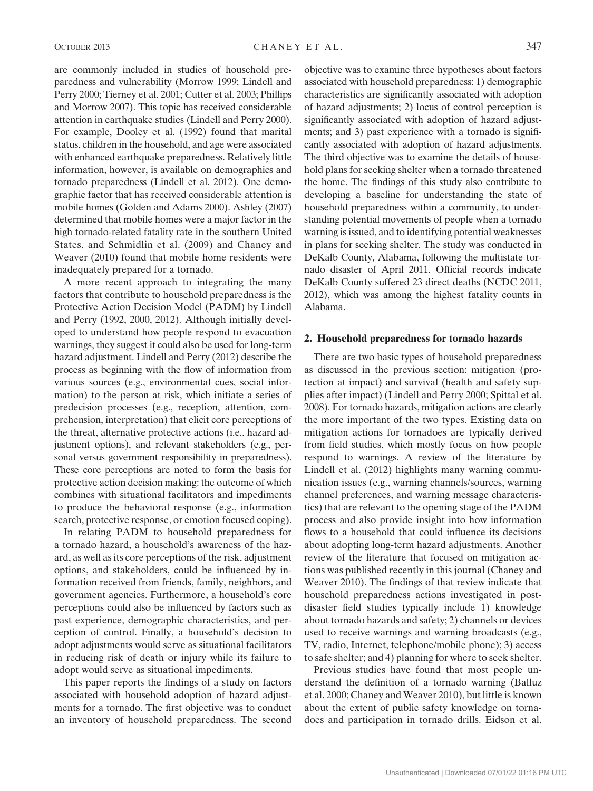are commonly included in studies of household preparedness and vulnerability (Morrow 1999; Lindell and Perry 2000; Tierney et al. 2001; Cutter et al. 2003; Phillips and Morrow 2007). This topic has received considerable attention in earthquake studies (Lindell and Perry 2000). For example, Dooley et al. (1992) found that marital status, children in the household, and age were associated with enhanced earthquake preparedness. Relatively little information, however, is available on demographics and tornado preparedness (Lindell et al. 2012). One demographic factor that has received considerable attention is mobile homes (Golden and Adams 2000). Ashley (2007) determined that mobile homes were a major factor in the high tornado-related fatality rate in the southern United States, and Schmidlin et al. (2009) and Chaney and Weaver (2010) found that mobile home residents were inadequately prepared for a tornado.

A more recent approach to integrating the many factors that contribute to household preparedness is the Protective Action Decision Model (PADM) by Lindell and Perry (1992, 2000, 2012). Although initially developed to understand how people respond to evacuation warnings, they suggest it could also be used for long-term hazard adjustment. Lindell and Perry (2012) describe the process as beginning with the flow of information from various sources (e.g., environmental cues, social information) to the person at risk, which initiate a series of predecision processes (e.g., reception, attention, comprehension, interpretation) that elicit core perceptions of the threat, alternative protective actions (i.e., hazard adjustment options), and relevant stakeholders (e.g., personal versus government responsibility in preparedness). These core perceptions are noted to form the basis for protective action decision making: the outcome of which combines with situational facilitators and impediments to produce the behavioral response (e.g., information search, protective response, or emotion focused coping).

In relating PADM to household preparedness for a tornado hazard, a household's awareness of the hazard, as well as its core perceptions of the risk, adjustment options, and stakeholders, could be influenced by information received from friends, family, neighbors, and government agencies. Furthermore, a household's core perceptions could also be influenced by factors such as past experience, demographic characteristics, and perception of control. Finally, a household's decision to adopt adjustments would serve as situational facilitators in reducing risk of death or injury while its failure to adopt would serve as situational impediments.

This paper reports the findings of a study on factors associated with household adoption of hazard adjustments for a tornado. The first objective was to conduct an inventory of household preparedness. The second

objective was to examine three hypotheses about factors associated with household preparedness: 1) demographic characteristics are significantly associated with adoption of hazard adjustments; 2) locus of control perception is significantly associated with adoption of hazard adjustments; and 3) past experience with a tornado is significantly associated with adoption of hazard adjustments. The third objective was to examine the details of household plans for seeking shelter when a tornado threatened the home. The findings of this study also contribute to developing a baseline for understanding the state of household preparedness within a community, to understanding potential movements of people when a tornado warning is issued, and to identifying potential weaknesses in plans for seeking shelter. The study was conducted in DeKalb County, Alabama, following the multistate tornado disaster of April 2011. Official records indicate DeKalb County suffered 23 direct deaths (NCDC 2011, 2012), which was among the highest fatality counts in Alabama.

## 2. Household preparedness for tornado hazards

There are two basic types of household preparedness as discussed in the previous section: mitigation (protection at impact) and survival (health and safety supplies after impact) (Lindell and Perry 2000; Spittal et al. 2008). For tornado hazards, mitigation actions are clearly the more important of the two types. Existing data on mitigation actions for tornadoes are typically derived from field studies, which mostly focus on how people respond to warnings. A review of the literature by Lindell et al. (2012) highlights many warning communication issues (e.g., warning channels/sources, warning channel preferences, and warning message characteristics) that are relevant to the opening stage of the PADM process and also provide insight into how information flows to a household that could influence its decisions about adopting long-term hazard adjustments. Another review of the literature that focused on mitigation actions was published recently in this journal (Chaney and Weaver 2010). The findings of that review indicate that household preparedness actions investigated in postdisaster field studies typically include 1) knowledge about tornado hazards and safety; 2) channels or devices used to receive warnings and warning broadcasts (e.g., TV, radio, Internet, telephone/mobile phone); 3) access to safe shelter; and 4) planning for where to seek shelter.

Previous studies have found that most people understand the definition of a tornado warning (Balluz et al. 2000; Chaney and Weaver 2010), but little is known about the extent of public safety knowledge on tornadoes and participation in tornado drills. Eidson et al.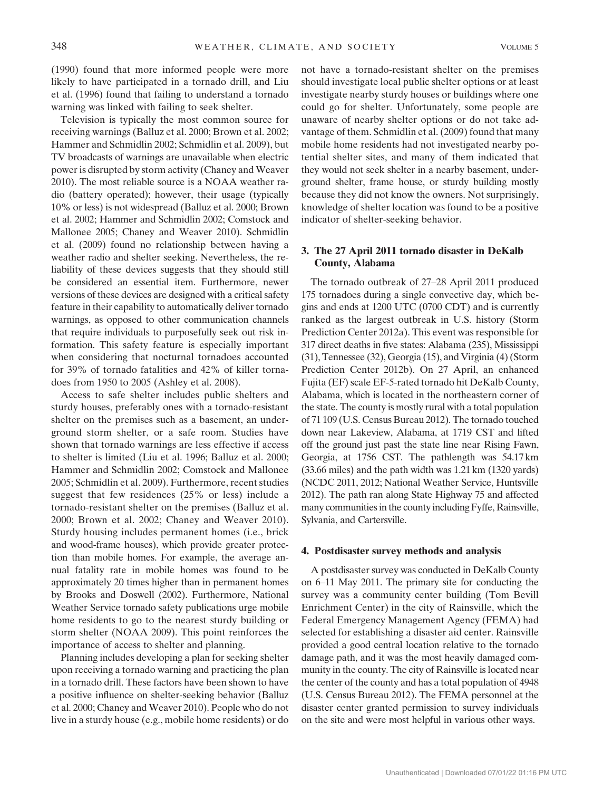(1990) found that more informed people were more likely to have participated in a tornado drill, and Liu et al. (1996) found that failing to understand a tornado warning was linked with failing to seek shelter.

Television is typically the most common source for receiving warnings (Balluz et al. 2000; Brown et al. 2002; Hammer and Schmidlin 2002; Schmidlin et al. 2009), but TV broadcasts of warnings are unavailable when electric power is disrupted by storm activity (Chaney and Weaver 2010). The most reliable source is a NOAA weather radio (battery operated); however, their usage (typically 10% or less) is not widespread (Balluz et al. 2000; Brown et al. 2002; Hammer and Schmidlin 2002; Comstock and Mallonee 2005; Chaney and Weaver 2010). Schmidlin et al. (2009) found no relationship between having a weather radio and shelter seeking. Nevertheless, the reliability of these devices suggests that they should still be considered an essential item. Furthermore, newer versions of these devices are designed with a critical safety feature in their capability to automatically deliver tornado warnings, as opposed to other communication channels that require individuals to purposefully seek out risk information. This safety feature is especially important when considering that nocturnal tornadoes accounted for 39% of tornado fatalities and 42% of killer tornadoes from 1950 to 2005 (Ashley et al. 2008).

Access to safe shelter includes public shelters and sturdy houses, preferably ones with a tornado-resistant shelter on the premises such as a basement, an underground storm shelter, or a safe room. Studies have shown that tornado warnings are less effective if access to shelter is limited (Liu et al. 1996; Balluz et al. 2000; Hammer and Schmidlin 2002; Comstock and Mallonee 2005; Schmidlin et al. 2009). Furthermore, recent studies suggest that few residences (25% or less) include a tornado-resistant shelter on the premises (Balluz et al. 2000; Brown et al. 2002; Chaney and Weaver 2010). Sturdy housing includes permanent homes (i.e., brick and wood-frame houses), which provide greater protection than mobile homes. For example, the average annual fatality rate in mobile homes was found to be approximately 20 times higher than in permanent homes by Brooks and Doswell (2002). Furthermore, National Weather Service tornado safety publications urge mobile home residents to go to the nearest sturdy building or storm shelter (NOAA 2009). This point reinforces the importance of access to shelter and planning.

Planning includes developing a plan for seeking shelter upon receiving a tornado warning and practicing the plan in a tornado drill. These factors have been shown to have a positive influence on shelter-seeking behavior (Balluz et al. 2000; Chaney and Weaver 2010). People who do not live in a sturdy house (e.g., mobile home residents) or do not have a tornado-resistant shelter on the premises should investigate local public shelter options or at least investigate nearby sturdy houses or buildings where one could go for shelter. Unfortunately, some people are unaware of nearby shelter options or do not take advantage of them. Schmidlin et al. (2009) found that many mobile home residents had not investigated nearby potential shelter sites, and many of them indicated that they would not seek shelter in a nearby basement, underground shelter, frame house, or sturdy building mostly because they did not know the owners. Not surprisingly, knowledge of shelter location was found to be a positive indicator of shelter-seeking behavior.

## 3. The 27 April 2011 tornado disaster in DeKalb County, Alabama

The tornado outbreak of 27–28 April 2011 produced 175 tornadoes during a single convective day, which begins and ends at 1200 UTC (0700 CDT) and is currently ranked as the largest outbreak in U.S. history (Storm Prediction Center 2012a). This event was responsible for 317 direct deaths in five states: Alabama (235), Mississippi (31), Tennessee (32), Georgia (15), and Virginia (4) (Storm Prediction Center 2012b). On 27 April, an enhanced Fujita (EF) scale EF-5-rated tornado hit DeKalb County, Alabama, which is located in the northeastern corner of the state. The county is mostly rural with a total population of 71 109 (U.S. Census Bureau 2012). The tornado touched down near Lakeview, Alabama, at 1719 CST and lifted off the ground just past the state line near Rising Fawn, Georgia, at 1756 CST. The pathlength was 54.17 km (33.66 miles) and the path width was 1.21 km (1320 yards) (NCDC 2011, 2012; National Weather Service, Huntsville 2012). The path ran along State Highway 75 and affected many communities in the county including Fyffe, Rainsville, Sylvania, and Cartersville.

#### 4. Postdisaster survey methods and analysis

A postdisaster survey was conducted in DeKalb County on 6–11 May 2011. The primary site for conducting the survey was a community center building (Tom Bevill Enrichment Center) in the city of Rainsville, which the Federal Emergency Management Agency (FEMA) had selected for establishing a disaster aid center. Rainsville provided a good central location relative to the tornado damage path, and it was the most heavily damaged community in the county. The city of Rainsville is located near the center of the county and has a total population of 4948 (U.S. Census Bureau 2012). The FEMA personnel at the disaster center granted permission to survey individuals on the site and were most helpful in various other ways.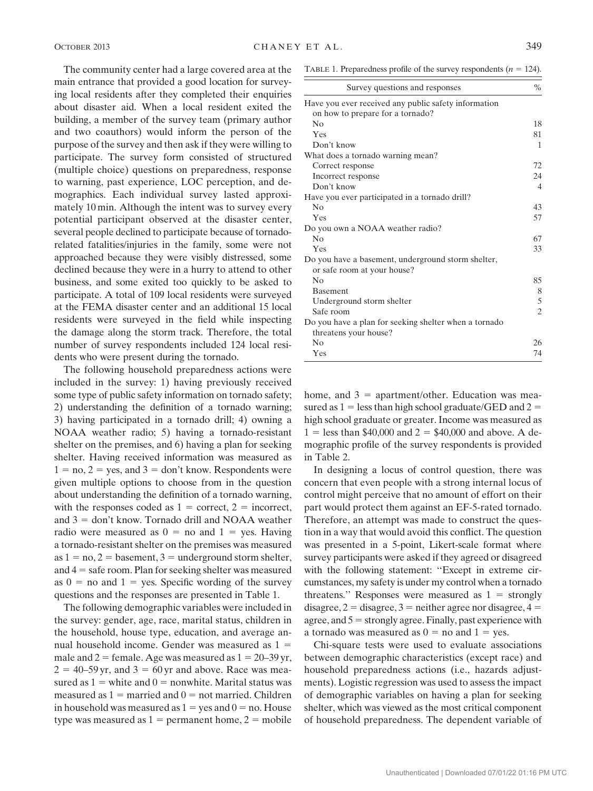The community center had a large covered area at the main entrance that provided a good location for surveying local residents after they completed their enquiries about disaster aid. When a local resident exited the building, a member of the survey team (primary author and two coauthors) would inform the person of the purpose of the survey and then ask if they were willing to participate. The survey form consisted of structured (multiple choice) questions on preparedness, response to warning, past experience, LOC perception, and demographics. Each individual survey lasted approximately 10 min. Although the intent was to survey every potential participant observed at the disaster center, several people declined to participate because of tornadorelated fatalities/injuries in the family, some were not approached because they were visibly distressed, some declined because they were in a hurry to attend to other business, and some exited too quickly to be asked to participate. A total of 109 local residents were surveyed at the FEMA disaster center and an additional 15 local residents were surveyed in the field while inspecting the damage along the storm track. Therefore, the total number of survey respondents included 124 local residents who were present during the tornado.

The following household preparedness actions were included in the survey: 1) having previously received some type of public safety information on tornado safety; 2) understanding the definition of a tornado warning; 3) having participated in a tornado drill; 4) owning a NOAA weather radio; 5) having a tornado-resistant shelter on the premises, and 6) having a plan for seeking shelter. Having received information was measured as  $1 = no$ ,  $2 = yes$ , and  $3 = don't know$ . Respondents were given multiple options to choose from in the question about understanding the definition of a tornado warning, with the responses coded as  $1 =$  correct,  $2 =$  incorrect, and  $3 =$  don't know. Tornado drill and NOAA weather radio were measured as  $0 =$  no and  $1 =$  yes. Having a tornado-resistant shelter on the premises was measured as  $1 = no$ ,  $2 =$  basement,  $3 =$  underground storm shelter, and  $4 =$  safe room. Plan for seeking shelter was measured as  $0 =$  no and  $1 =$  yes. Specific wording of the survey questions and the responses are presented in Table 1.

The following demographic variables were included in the survey: gender, age, race, marital status, children in the household, house type, education, and average annual household income. Gender was measured as  $1 =$ male and  $2 =$  female. Age was measured as  $1 = 20-39$  yr,  $2 = 40-59$  yr, and  $3 = 60$  yr and above. Race was measured as  $1 =$  white and  $0 =$  nonwhite. Marital status was measured as  $1 =$  married and  $0 =$  not married. Children in household was measured as  $1 = yes$  and  $0 = no$ . House type was measured as  $1 =$  permanent home,  $2 =$  mobile

TABLE 1. Preparedness profile of the survey respondents  $(n = 124)$ .

| Survey questions and responses                                                    | $\%$           |
|-----------------------------------------------------------------------------------|----------------|
| Have you ever received any public safety information                              |                |
| on how to prepare for a tornado?                                                  |                |
| N <sub>0</sub>                                                                    | 18             |
| Yes                                                                               | 81             |
| Don't know                                                                        | 1              |
| What does a tornado warning mean?                                                 |                |
| Correct response                                                                  | 72             |
| Incorrect response                                                                | 24             |
| Don't know                                                                        | 4              |
| Have you ever participated in a tornado drill?                                    |                |
| No                                                                                | 43             |
| Yes                                                                               | 57             |
| Do you own a NOAA weather radio?                                                  |                |
| No                                                                                | 67             |
| Yes                                                                               | 33             |
| Do you have a basement, underground storm shelter,<br>or safe room at your house? |                |
| N <sub>0</sub>                                                                    | 85             |
| <b>Basement</b>                                                                   | 8              |
| Underground storm shelter                                                         | 5              |
| Safe room                                                                         | $\overline{2}$ |
| Do you have a plan for seeking shelter when a tornado                             |                |
| threatens your house?                                                             |                |
| N <sub>0</sub>                                                                    | 26             |
| Yes                                                                               | 74             |

home, and  $3 =$  apartment/other. Education was measured as  $1 =$  less than high school graduate/GED and  $2 =$ high school graduate or greater. Income was measured as  $1 =$  less than \$40,000 and  $2 = $40,000$  and above. A demographic profile of the survey respondents is provided in Table 2.

In designing a locus of control question, there was concern that even people with a strong internal locus of control might perceive that no amount of effort on their part would protect them against an EF-5-rated tornado. Therefore, an attempt was made to construct the question in a way that would avoid this conflict. The question was presented in a 5-point, Likert-scale format where survey participants were asked if they agreed or disagreed with the following statement: ''Except in extreme circumstances, my safety is under my control when a tornado threatens." Responses were measured as  $1 =$  strongly disagree,  $2 =$  disagree,  $3 =$  neither agree nor disagree,  $4 =$ agree, and  $5 =$  strongly agree. Finally, past experience with a tornado was measured as  $0 =$  no and  $1 =$  yes.

Chi-square tests were used to evaluate associations between demographic characteristics (except race) and household preparedness actions (i.e., hazards adjustments). Logistic regression was used to assess the impact of demographic variables on having a plan for seeking shelter, which was viewed as the most critical component of household preparedness. The dependent variable of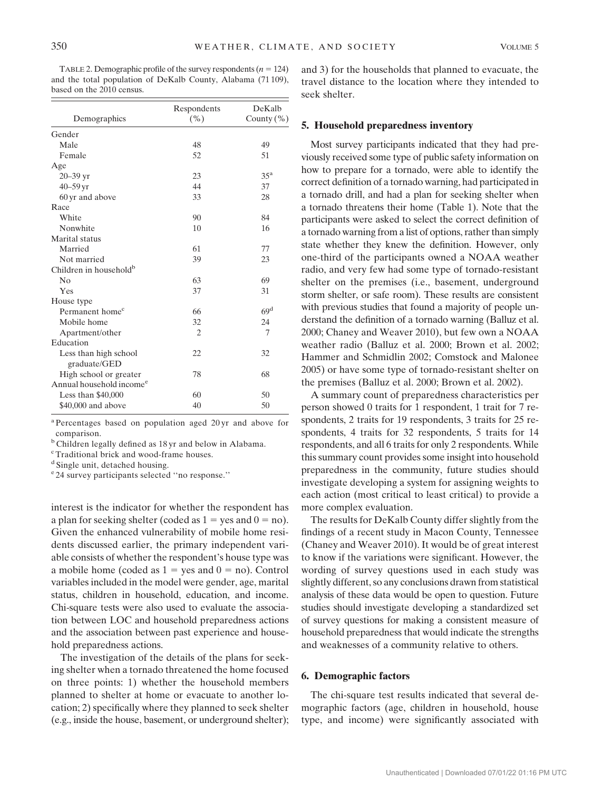TABLE 2. Demographic profile of the survey respondents  $(n = 124)$ and the total population of DeKalb County, Alabama (71 109), based on the 2010 census.

|                                      | Respondents    | DeKalb          |
|--------------------------------------|----------------|-----------------|
| Demographics                         | ( %)           | County $(\% )$  |
| Gender                               |                |                 |
| Male                                 | 48             | 49              |
| Female                               | 52             | 51              |
| Age                                  |                |                 |
| $20 - 39$ yr                         | 23             | 35 <sup>a</sup> |
| $40 - 59$ yr                         | 44             | 37              |
| 60 yr and above                      | 33             | 28              |
| Race                                 |                |                 |
| White                                | 90             | 84              |
| Nonwhite                             | 10             | 16              |
| Marital status                       |                |                 |
| Married                              | 61             | 77              |
| Not married                          | 39             | 23              |
| Children in household <sup>b</sup>   |                |                 |
| N <sub>0</sub>                       | 63             | 69              |
| Yes                                  | 37             | 31              |
| House type                           |                |                 |
| Permanent home <sup>c</sup>          | 66             | 69 <sup>d</sup> |
| Mobile home                          | 32             | 24              |
| Apartment/other                      | $\overline{c}$ | 7               |
| Education                            |                |                 |
| Less than high school                | 22             | 32              |
| graduate/GED                         |                |                 |
| High school or greater               | 78             | 68              |
| Annual household income <sup>e</sup> |                |                 |
| Less than $$40,000$                  | 60             | 50              |
| \$40,000 and above                   | 40             | 50              |

<sup>a</sup> Percentages based on population aged 20 yr and above for comparison.

<sup>b</sup> Children legally defined as 18 yr and below in Alabama.

<sup>c</sup> Traditional brick and wood-frame houses.

<sup>d</sup> Single unit, detached housing.

<sup>e</sup> 24 survey participants selected ''no response.''

interest is the indicator for whether the respondent has a plan for seeking shelter (coded as  $1 = yes$  and  $0 = no$ ). Given the enhanced vulnerability of mobile home residents discussed earlier, the primary independent variable consists of whether the respondent's house type was a mobile home (coded as  $1 = yes$  and  $0 = no$ ). Control variables included in the model were gender, age, marital status, children in household, education, and income. Chi-square tests were also used to evaluate the association between LOC and household preparedness actions and the association between past experience and household preparedness actions.

The investigation of the details of the plans for seeking shelter when a tornado threatened the home focused on three points: 1) whether the household members planned to shelter at home or evacuate to another location; 2) specifically where they planned to seek shelter (e.g., inside the house, basement, or underground shelter);

and 3) for the households that planned to evacuate, the travel distance to the location where they intended to seek shelter.

#### 5. Household preparedness inventory

Most survey participants indicated that they had previously received some type of public safety information on how to prepare for a tornado, were able to identify the correct definition of a tornado warning, had participated in a tornado drill, and had a plan for seeking shelter when a tornado threatens their home (Table 1). Note that the participants were asked to select the correct definition of a tornado warning from a list of options, rather than simply state whether they knew the definition. However, only one-third of the participants owned a NOAA weather radio, and very few had some type of tornado-resistant shelter on the premises (i.e., basement, underground storm shelter, or safe room). These results are consistent with previous studies that found a majority of people understand the definition of a tornado warning (Balluz et al. 2000; Chaney and Weaver 2010), but few own a NOAA weather radio (Balluz et al. 2000; Brown et al. 2002; Hammer and Schmidlin 2002; Comstock and Malonee 2005) or have some type of tornado-resistant shelter on the premises (Balluz et al. 2000; Brown et al. 2002).

A summary count of preparedness characteristics per person showed 0 traits for 1 respondent, 1 trait for 7 respondents, 2 traits for 19 respondents, 3 traits for 25 respondents, 4 traits for 32 respondents, 5 traits for 14 respondents, and all 6 traits for only 2 respondents. While this summary count provides some insight into household preparedness in the community, future studies should investigate developing a system for assigning weights to each action (most critical to least critical) to provide a more complex evaluation.

The results for DeKalb County differ slightly from the findings of a recent study in Macon County, Tennessee (Chaney and Weaver 2010). It would be of great interest to know if the variations were significant. However, the wording of survey questions used in each study was slightly different, so any conclusions drawn from statistical analysis of these data would be open to question. Future studies should investigate developing a standardized set of survey questions for making a consistent measure of household preparedness that would indicate the strengths and weaknesses of a community relative to others.

## 6. Demographic factors

The chi-square test results indicated that several demographic factors (age, children in household, house type, and income) were significantly associated with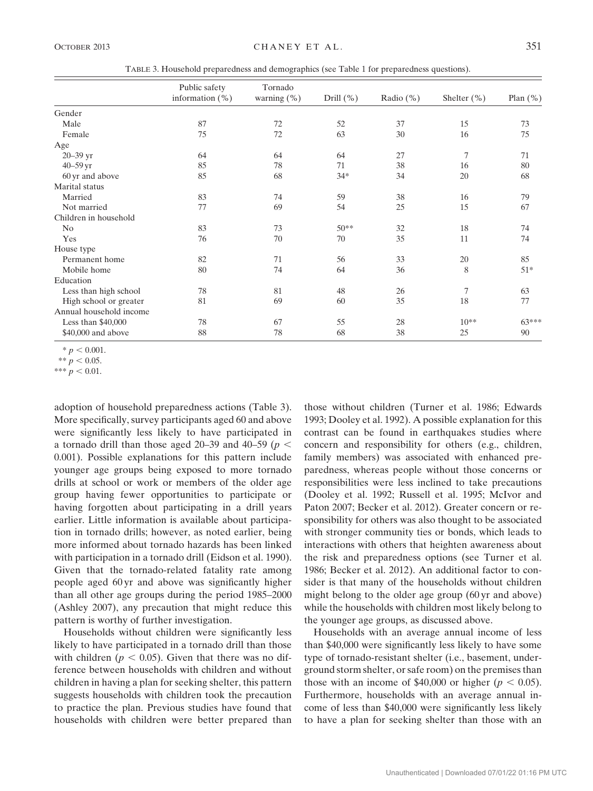TABLE 3. Household preparedness and demographics (see Table 1 for preparedness questions).

|                         | Public safety      | Tornado        |           |               |                |             |
|-------------------------|--------------------|----------------|-----------|---------------|----------------|-------------|
|                         | information $(\%)$ | warning $(\%)$ | Drill (%) | Radio $(\% )$ | Shelter $(\%)$ | Plan $(\%)$ |
| Gender                  |                    |                |           |               |                |             |
| Male                    | 87                 | 72             | 52        | 37            | 15             | 73          |
| Female                  | 75                 | 72             | 63        | 30            | 16             | 75          |
| Age                     |                    |                |           |               |                |             |
| 20-39 yr                | 64                 | 64             | 64        | 27            | 7              | 71          |
| $40 - 59$ yr            | 85                 | 78             | 71        | 38            | 16             | 80          |
| 60 yr and above         | 85                 | 68             | $34*$     | 34            | 20             | 68          |
| Marital status          |                    |                |           |               |                |             |
| Married                 | 83                 | 74             | 59        | 38            | 16             | 79          |
| Not married             | 77                 | 69             | 54        | 25            | 15             | 67          |
| Children in household   |                    |                |           |               |                |             |
| No                      | 83                 | 73             | $50**$    | 32            | 18             | 74          |
| Yes                     | 76                 | 70             | 70        | 35            | 11             | 74          |
| House type              |                    |                |           |               |                |             |
| Permanent home          | 82                 | 71             | 56        | 33            | 20             | 85          |
| Mobile home             | 80                 | 74             | 64        | 36            | 8              | $51*$       |
| Education               |                    |                |           |               |                |             |
| Less than high school   | 78                 | 81             | 48        | 26            | 7              | 63          |
| High school or greater  | 81                 | 69             | 60        | 35            | 18             | 77          |
| Annual household income |                    |                |           |               |                |             |
| Less than $$40,000$     | 78                 | 67             | 55        | 28            | $10**$         | $63***$     |
| \$40,000 and above      | 88                 | 78             | 68        | 38            | 25             | 90          |

 $* p < 0.001.$ 

\*\*\*  $p < 0.01$ .

adoption of household preparedness actions (Table 3). More specifically, survey participants aged 60 and above were significantly less likely to have participated in a tornado drill than those aged 20–39 and 40–59 ( $p <$ 0.001). Possible explanations for this pattern include younger age groups being exposed to more tornado drills at school or work or members of the older age group having fewer opportunities to participate or having forgotten about participating in a drill years earlier. Little information is available about participation in tornado drills; however, as noted earlier, being more informed about tornado hazards has been linked with participation in a tornado drill (Eidson et al. 1990). Given that the tornado-related fatality rate among people aged 60 yr and above was significantly higher than all other age groups during the period 1985–2000 (Ashley 2007), any precaution that might reduce this pattern is worthy of further investigation.

Households without children were significantly less likely to have participated in a tornado drill than those with children ( $p < 0.05$ ). Given that there was no difference between households with children and without children in having a plan for seeking shelter, this pattern suggests households with children took the precaution to practice the plan. Previous studies have found that households with children were better prepared than

those without children (Turner et al. 1986; Edwards 1993; Dooley et al. 1992). A possible explanation for this contrast can be found in earthquakes studies where concern and responsibility for others (e.g., children, family members) was associated with enhanced preparedness, whereas people without those concerns or responsibilities were less inclined to take precautions (Dooley et al. 1992; Russell et al. 1995; McIvor and Paton 2007; Becker et al. 2012). Greater concern or responsibility for others was also thought to be associated with stronger community ties or bonds, which leads to interactions with others that heighten awareness about the risk and preparedness options (see Turner et al. 1986; Becker et al. 2012). An additional factor to consider is that many of the households without children might belong to the older age group (60 yr and above) while the households with children most likely belong to the younger age groups, as discussed above.

Households with an average annual income of less than \$40,000 were significantly less likely to have some type of tornado-resistant shelter (i.e., basement, underground storm shelter, or safe room) on the premises than those with an income of \$40,000 or higher ( $p < 0.05$ ). Furthermore, households with an average annual income of less than \$40,000 were significantly less likely to have a plan for seeking shelter than those with an

<sup>\*\*</sup>  $p < 0.05$ .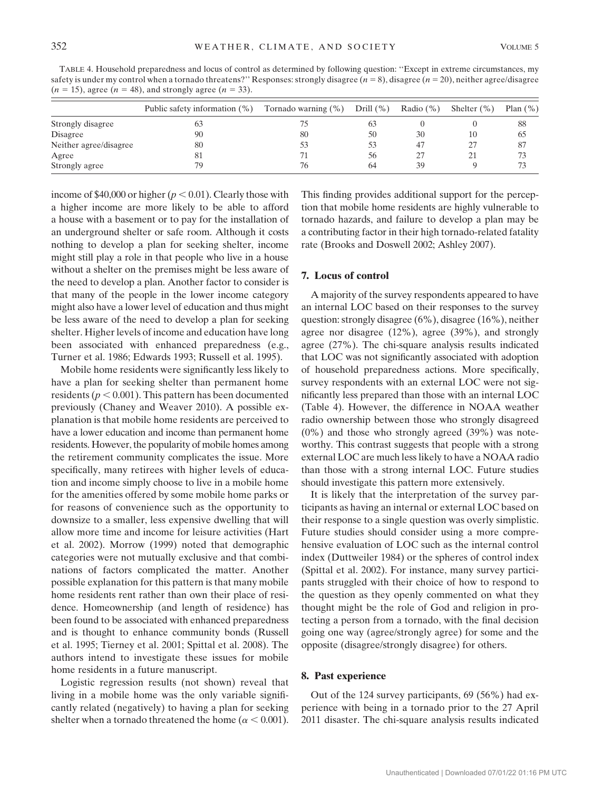TABLE 4. Household preparedness and locus of control as determined by following question: ''Except in extreme circumstances, my safety is under my control when a tornado threatens?" Responses: strongly disagree  $(n = 8)$ , disagree  $(n = 20)$ , neither agree/disagree  $(n = 15)$ , agree  $(n = 48)$ , and strongly agree  $(n = 33)$ .

|                        | Public safety information $(\%)$ | Tornado warning $(\%)$ | Drill $(\% )$ | Radio $(\% )$ | Shelter $(\% )$ | Plan $(\%)$ |
|------------------------|----------------------------------|------------------------|---------------|---------------|-----------------|-------------|
| Strongly disagree      | 63                               |                        | 63            |               |                 | 88          |
| Disagree               | 90                               | 80                     | 50            | 30            | 10              | 65          |
| Neither agree/disagree | 80                               |                        | 53            | 47            | 27              | 87          |
| Agree                  | 81                               |                        | 56            |               | 21              | 73          |
| Strongly agree         | 79                               | 76                     | 64            | 39            |                 | 73          |

income of \$40,000 or higher ( $p < 0.01$ ). Clearly those with a higher income are more likely to be able to afford a house with a basement or to pay for the installation of an underground shelter or safe room. Although it costs nothing to develop a plan for seeking shelter, income might still play a role in that people who live in a house without a shelter on the premises might be less aware of the need to develop a plan. Another factor to consider is that many of the people in the lower income category might also have a lower level of education and thus might be less aware of the need to develop a plan for seeking shelter. Higher levels of income and education have long been associated with enhanced preparedness (e.g., Turner et al. 1986; Edwards 1993; Russell et al. 1995).

Mobile home residents were significantly less likely to have a plan for seeking shelter than permanent home residents ( $p < 0.001$ ). This pattern has been documented previously (Chaney and Weaver 2010). A possible explanation is that mobile home residents are perceived to have a lower education and income than permanent home residents. However, the popularity of mobile homes among the retirement community complicates the issue. More specifically, many retirees with higher levels of education and income simply choose to live in a mobile home for the amenities offered by some mobile home parks or for reasons of convenience such as the opportunity to downsize to a smaller, less expensive dwelling that will allow more time and income for leisure activities (Hart et al. 2002). Morrow (1999) noted that demographic categories were not mutually exclusive and that combinations of factors complicated the matter. Another possible explanation for this pattern is that many mobile home residents rent rather than own their place of residence. Homeownership (and length of residence) has been found to be associated with enhanced preparedness and is thought to enhance community bonds (Russell et al. 1995; Tierney et al. 2001; Spittal et al. 2008). The authors intend to investigate these issues for mobile home residents in a future manuscript.

Logistic regression results (not shown) reveal that living in a mobile home was the only variable significantly related (negatively) to having a plan for seeking shelter when a tornado threatened the home ( $\alpha$  < 0.001).

This finding provides additional support for the perception that mobile home residents are highly vulnerable to tornado hazards, and failure to develop a plan may be a contributing factor in their high tornado-related fatality rate (Brooks and Doswell 2002; Ashley 2007).

## 7. Locus of control

A majority of the survey respondents appeared to have an internal LOC based on their responses to the survey question: strongly disagree (6%), disagree (16%), neither agree nor disagree (12%), agree (39%), and strongly agree (27%). The chi-square analysis results indicated that LOC was not significantly associated with adoption of household preparedness actions. More specifically, survey respondents with an external LOC were not significantly less prepared than those with an internal LOC (Table 4). However, the difference in NOAA weather radio ownership between those who strongly disagreed (0%) and those who strongly agreed (39%) was noteworthy. This contrast suggests that people with a strong external LOC are much less likely to have a NOAA radio than those with a strong internal LOC. Future studies should investigate this pattern more extensively.

It is likely that the interpretation of the survey participants as having an internal or external LOC based on their response to a single question was overly simplistic. Future studies should consider using a more comprehensive evaluation of LOC such as the internal control index (Duttweiler 1984) or the spheres of control index (Spittal et al. 2002). For instance, many survey participants struggled with their choice of how to respond to the question as they openly commented on what they thought might be the role of God and religion in protecting a person from a tornado, with the final decision going one way (agree/strongly agree) for some and the opposite (disagree/strongly disagree) for others.

#### 8. Past experience

Out of the 124 survey participants, 69 (56%) had experience with being in a tornado prior to the 27 April 2011 disaster. The chi-square analysis results indicated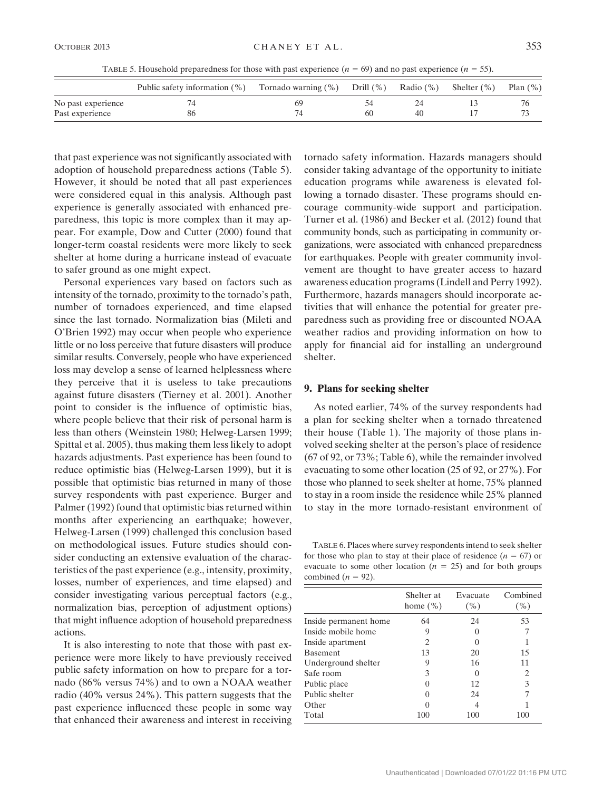TABLE 5. Household preparedness for those with past experience ( $n = 69$ ) and no past experience ( $n = 55$ ).

|                    | Public safety information $(\%)$ | Tornado warning (%) | Drill $(\% )$ | Radio $(\% )$ | Shelter $(\% )$ | Plan $(\% )$ |
|--------------------|----------------------------------|---------------------|---------------|---------------|-----------------|--------------|
| No past experience |                                  | 69                  |               |               |                 |              |
| Past experience    | 86                               |                     | 60            | 40            |                 |              |

that past experience was not significantly associated with adoption of household preparedness actions (Table 5). However, it should be noted that all past experiences were considered equal in this analysis. Although past experience is generally associated with enhanced preparedness, this topic is more complex than it may appear. For example, Dow and Cutter (2000) found that longer-term coastal residents were more likely to seek shelter at home during a hurricane instead of evacuate to safer ground as one might expect.

Personal experiences vary based on factors such as intensity of the tornado, proximity to the tornado's path, number of tornadoes experienced, and time elapsed since the last tornado. Normalization bias (Mileti and O'Brien 1992) may occur when people who experience little or no loss perceive that future disasters will produce similar results. Conversely, people who have experienced loss may develop a sense of learned helplessness where they perceive that it is useless to take precautions against future disasters (Tierney et al. 2001). Another point to consider is the influence of optimistic bias, where people believe that their risk of personal harm is less than others (Weinstein 1980; Helweg-Larsen 1999; Spittal et al. 2005), thus making them less likely to adopt hazards adjustments. Past experience has been found to reduce optimistic bias (Helweg-Larsen 1999), but it is possible that optimistic bias returned in many of those survey respondents with past experience. Burger and Palmer (1992) found that optimistic bias returned within months after experiencing an earthquake; however, Helweg-Larsen (1999) challenged this conclusion based on methodological issues. Future studies should consider conducting an extensive evaluation of the characteristics of the past experience (e.g., intensity, proximity, losses, number of experiences, and time elapsed) and consider investigating various perceptual factors (e.g., normalization bias, perception of adjustment options) that might influence adoption of household preparedness actions.

It is also interesting to note that those with past experience were more likely to have previously received public safety information on how to prepare for a tornado (86% versus 74%) and to own a NOAA weather radio (40% versus 24%). This pattern suggests that the past experience influenced these people in some way that enhanced their awareness and interest in receiving

tornado safety information. Hazards managers should consider taking advantage of the opportunity to initiate education programs while awareness is elevated following a tornado disaster. These programs should encourage community-wide support and participation. Turner et al. (1986) and Becker et al. (2012) found that community bonds, such as participating in community organizations, were associated with enhanced preparedness for earthquakes. People with greater community involvement are thought to have greater access to hazard awareness education programs (Lindell and Perry 1992). Furthermore, hazards managers should incorporate activities that will enhance the potential for greater preparedness such as providing free or discounted NOAA weather radios and providing information on how to apply for financial aid for installing an underground shelter.

#### 9. Plans for seeking shelter

As noted earlier, 74% of the survey respondents had a plan for seeking shelter when a tornado threatened their house (Table 1). The majority of those plans involved seeking shelter at the person's place of residence (67 of 92, or 73%; Table 6), while the remainder involved evacuating to some other location (25 of 92, or 27%). For those who planned to seek shelter at home, 75% planned to stay in a room inside the residence while 25% planned to stay in the more tornado-resistant environment of

TABLE 6. Places where survey respondents intend to seek shelter for those who plan to stay at their place of residence  $(n = 67)$  or evacuate to some other location ( $n = 25$ ) and for both groups combined ( $n = 92$ ).

|                       | Shelter at<br>home $(\% )$ | Evacuate<br>( %) | Combined<br>( %) |
|-----------------------|----------------------------|------------------|------------------|
| Inside permanent home | 64                         | 24               | 53               |
| Inside mobile home    | 9                          |                  |                  |
| Inside apartment      | $\overline{c}$             | $\left( \right)$ |                  |
| <b>Basement</b>       | 13                         | 20               | 15               |
| Underground shelter   | 9                          | 16               | 11               |
| Safe room             | 3                          | $\left( \right)$ | 2                |
| Public place          |                            | 12               | 3                |
| Public shelter        |                            | 24               |                  |
| Other                 |                            |                  |                  |
| Total                 | 100                        | 100              | 100              |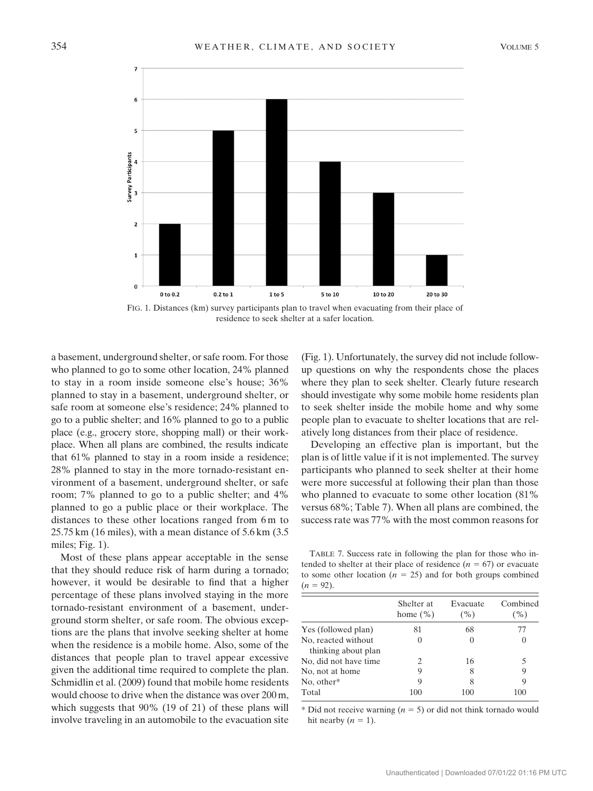

FIG. 1. Distances (km) survey participants plan to travel when evacuating from their place of residence to seek shelter at a safer location.

a basement, underground shelter, or safe room. For those who planned to go to some other location, 24% planned to stay in a room inside someone else's house; 36% planned to stay in a basement, underground shelter, or safe room at someone else's residence; 24% planned to go to a public shelter; and 16% planned to go to a public place (e.g., grocery store, shopping mall) or their workplace. When all plans are combined, the results indicate that 61% planned to stay in a room inside a residence; 28% planned to stay in the more tornado-resistant environment of a basement, underground shelter, or safe room; 7% planned to go to a public shelter; and 4% planned to go a public place or their workplace. The distances to these other locations ranged from 6 m to 25.75 km (16 miles), with a mean distance of 5.6 km (3.5 miles; Fig. 1).

Most of these plans appear acceptable in the sense that they should reduce risk of harm during a tornado; however, it would be desirable to find that a higher percentage of these plans involved staying in the more tornado-resistant environment of a basement, underground storm shelter, or safe room. The obvious exceptions are the plans that involve seeking shelter at home when the residence is a mobile home. Also, some of the distances that people plan to travel appear excessive given the additional time required to complete the plan. Schmidlin et al. (2009) found that mobile home residents would choose to drive when the distance was over 200 m, which suggests that 90% (19 of 21) of these plans will involve traveling in an automobile to the evacuation site

(Fig. 1). Unfortunately, the survey did not include followup questions on why the respondents chose the places where they plan to seek shelter. Clearly future research should investigate why some mobile home residents plan to seek shelter inside the mobile home and why some people plan to evacuate to shelter locations that are relatively long distances from their place of residence.

Developing an effective plan is important, but the plan is of little value if it is not implemented. The survey participants who planned to seek shelter at their home were more successful at following their plan than those who planned to evacuate to some other location (81% versus 68%; Table 7). When all plans are combined, the success rate was 77% with the most common reasons for

TABLE 7. Success rate in following the plan for those who intended to shelter at their place of residence  $(n = 67)$  or evacuate to some other location ( $n = 25$ ) and for both groups combined  $(n = 92)$ .

|                       | Shelter at<br>home $(\% )$ | Evacuate<br>$($ %) | Combined<br>( %) |
|-----------------------|----------------------------|--------------------|------------------|
| Yes (followed plan)   | 81                         | 68                 | 77               |
| No, reacted without   |                            |                    | $\left($         |
| thinking about plan   |                            |                    |                  |
| No, did not have time | 2                          | 16                 | 5                |
| No, not at home       | 9                          | 8                  | 9                |
| No, other*            | Q                          | 8                  | 9                |
| Total                 | 100                        | 100                | 100              |

\* Did not receive warning  $(n = 5)$  or did not think tornado would hit nearby  $(n = 1)$ .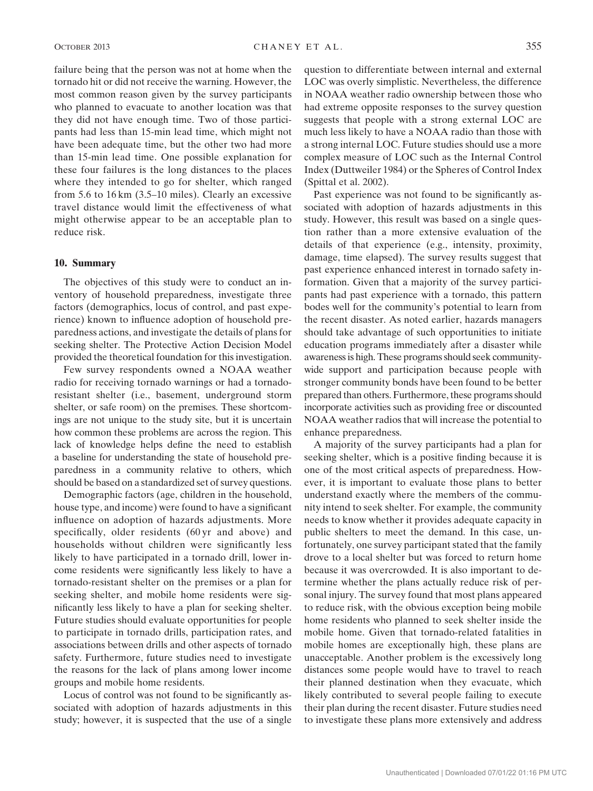failure being that the person was not at home when the tornado hit or did not receive the warning. However, the most common reason given by the survey participants who planned to evacuate to another location was that they did not have enough time. Two of those participants had less than 15-min lead time, which might not have been adequate time, but the other two had more than 15-min lead time. One possible explanation for these four failures is the long distances to the places where they intended to go for shelter, which ranged from 5.6 to 16 km (3.5–10 miles). Clearly an excessive travel distance would limit the effectiveness of what might otherwise appear to be an acceptable plan to reduce risk.

## 10. Summary

The objectives of this study were to conduct an inventory of household preparedness, investigate three factors (demographics, locus of control, and past experience) known to influence adoption of household preparedness actions, and investigate the details of plans for seeking shelter. The Protective Action Decision Model provided the theoretical foundation for this investigation.

Few survey respondents owned a NOAA weather radio for receiving tornado warnings or had a tornadoresistant shelter (i.e., basement, underground storm shelter, or safe room) on the premises. These shortcomings are not unique to the study site, but it is uncertain how common these problems are across the region. This lack of knowledge helps define the need to establish a baseline for understanding the state of household preparedness in a community relative to others, which should be based on a standardized set of survey questions.

Demographic factors (age, children in the household, house type, and income) were found to have a significant influence on adoption of hazards adjustments. More specifically, older residents (60 yr and above) and households without children were significantly less likely to have participated in a tornado drill, lower income residents were significantly less likely to have a tornado-resistant shelter on the premises or a plan for seeking shelter, and mobile home residents were significantly less likely to have a plan for seeking shelter. Future studies should evaluate opportunities for people to participate in tornado drills, participation rates, and associations between drills and other aspects of tornado safety. Furthermore, future studies need to investigate the reasons for the lack of plans among lower income groups and mobile home residents.

Locus of control was not found to be significantly associated with adoption of hazards adjustments in this study; however, it is suspected that the use of a single

question to differentiate between internal and external LOC was overly simplistic. Nevertheless, the difference in NOAA weather radio ownership between those who had extreme opposite responses to the survey question suggests that people with a strong external LOC are much less likely to have a NOAA radio than those with a strong internal LOC. Future studies should use a more complex measure of LOC such as the Internal Control Index (Duttweiler 1984) or the Spheres of Control Index (Spittal et al. 2002).

Past experience was not found to be significantly associated with adoption of hazards adjustments in this study. However, this result was based on a single question rather than a more extensive evaluation of the details of that experience (e.g., intensity, proximity, damage, time elapsed). The survey results suggest that past experience enhanced interest in tornado safety information. Given that a majority of the survey participants had past experience with a tornado, this pattern bodes well for the community's potential to learn from the recent disaster. As noted earlier, hazards managers should take advantage of such opportunities to initiate education programs immediately after a disaster while awareness is high. These programs should seek communitywide support and participation because people with stronger community bonds have been found to be better prepared than others. Furthermore, these programs should incorporate activities such as providing free or discounted NOAA weather radios that will increase the potential to enhance preparedness.

A majority of the survey participants had a plan for seeking shelter, which is a positive finding because it is one of the most critical aspects of preparedness. However, it is important to evaluate those plans to better understand exactly where the members of the community intend to seek shelter. For example, the community needs to know whether it provides adequate capacity in public shelters to meet the demand. In this case, unfortunately, one survey participant stated that the family drove to a local shelter but was forced to return home because it was overcrowded. It is also important to determine whether the plans actually reduce risk of personal injury. The survey found that most plans appeared to reduce risk, with the obvious exception being mobile home residents who planned to seek shelter inside the mobile home. Given that tornado-related fatalities in mobile homes are exceptionally high, these plans are unacceptable. Another problem is the excessively long distances some people would have to travel to reach their planned destination when they evacuate, which likely contributed to several people failing to execute their plan during the recent disaster. Future studies need to investigate these plans more extensively and address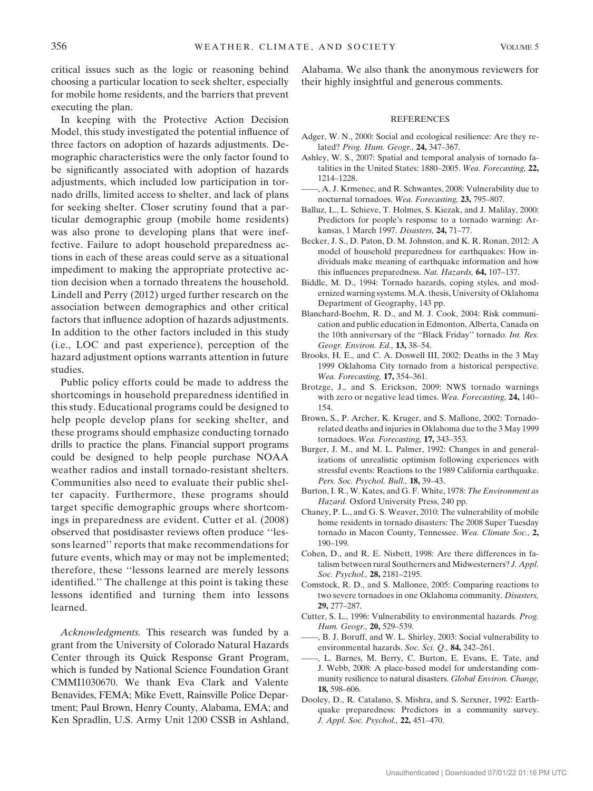critical issues such as the logic or reasoning behind choosing a particular location to seek shelter, especially for mobile home residents, and the barriers that prevent executing the plan.

In keeping with the Protective Action Decision Model, this study investigated the potential influence of three factors on adoption of hazards adjustments. Demographic characteristics were the only factor found to be significantly associated with adoption of hazards adjustments, which included low participation in tornado drills, limited access to shelter, and lack of plans for seeking shelter. Closer scrutiny found that a particular demographic group (mobile home residents) was also prone to developing plans that were ineffective. Failure to adopt household preparedness actions in each of these areas could serve as a situational impediment to making the appropriate protective action decision when a tornado threatens the household. Lindell and Perry (2012) urged further research on the association between demographics and other critical factors that influence adoption of hazards adjustments. In addition to the other factors included in this study (i.e., LOC and past experience), perception of the hazard adjustment options warrants attention in future studies.

Public policy efforts could be made to address the shortcomings in household preparedness identified in this study. Educational programs could be designed to help people develop plans for seeking shelter, and these programs should emphasize conducting tornado drills to practice the plans. Financial support programs could be designed to help people purchase NOAA weather radios and install tornado-resistant shelters. Communities also need to evaluate their public shelter capacity. Furthermore, these programs should target specific demographic groups where shortcomings in preparedness are evident. Cutter et al. (2008) observed that postdisaster reviews often produce ''lessons learned'' reports that make recommendations for future events, which may or may not be implemented; therefore, these ''lessons learned are merely lessons identified.'' The challenge at this point is taking these lessons identified and turning them into lessons learned.

Acknowledgments. This research was funded by a grant from the University of Colorado Natural Hazards Center through its Quick Response Grant Program, which is funded by National Science Foundation Grant CMMI1030670. We thank Eva Clark and Valente Benavides, FEMA; Mike Evett, Rainsville Police Department; Paul Brown, Henry County, Alabama, EMA; and Ken Spradlin, U.S. Army Unit 1200 CSSB in Ashland, Alabama. We also thank the anonymous reviewers for their highly insightful and generous comments.

#### **REFERENCES**

- Adger, W. N., 2000: Social and ecological resilience: Are they related? Prog. Hum. Geogr., 24, 347–367.
- Ashley, W. S., 2007: Spatial and temporal analysis of tornado fatalities in the United States: 1880–2005. Wea. Forecasting, 22, 1214–1228.
- ——, A. J. Krmenec, and R. Schwantes, 2008: Vulnerability due to nocturnal tornadoes. Wea. Forecasting, 23, 795–807.
- Balluz, L., L. Schieve, T. Holmes, S. Kiezak, and J. Malilay, 2000: Predictors for people's response to a tornado warning: Arkansas, 1 March 1997. Disasters, 24, 71–77.
- Becker, J. S., D. Paton, D. M. Johnston, and K. R. Ronan, 2012: A model of household preparedness for earthquakes: How individuals make meaning of earthquake information and how this influences preparedness. Nat. Hazards, 64, 107–137.
- Biddle, M. D., 1994: Tornado hazards, coping styles, and modernized warning systems. M.A. thesis, University of Oklahoma Department of Geography, 143 pp.
- Blanchard-Boehm, R. D., and M. J. Cook, 2004: Risk communication and public education in Edmonton, Alberta, Canada on the 10th anniversary of the ''Black Friday'' tornado. Int. Res. Geogr. Environ. Ed., 13, 38–54.
- Brooks, H. E., and C. A. Doswell III, 2002: Deaths in the 3 May 1999 Oklahoma City tornado from a historical perspective. Wea. Forecasting, **17,** 354-361.
- Brotzge, J., and S. Erickson, 2009: NWS tornado warnings with zero or negative lead times. Wea. Forecasting, 24, 140– 154.
- Brown, S., P. Archer, K. Kruger, and S. Mallone, 2002: Tornadorelated deaths and injuries in Oklahoma due to the 3 May 1999 tornadoes. Wea. Forecasting, 17, 343–353.
- Burger, J. M., and M. L. Palmer, 1992: Changes in and generalizations of unrealistic optimism following experiences with stressful events: Reactions to the 1989 California earthquake. Pers. Soc. Psychol. Bull., 18, 39-43.
- Burton, I. R., W. Kates, and G. F. White, 1978: The Environment as Hazard. Oxford University Press, 240 pp.
- Chaney, P. L., and G. S. Weaver, 2010: The vulnerability of mobile home residents in tornado disasters: The 2008 Super Tuesday tornado in Macon County, Tennessee. Wea. Climate Soc., 2, 190–199.
- Cohen, D., and R. E. Nisbett, 1998: Are there differences in fatalism between rural Southerners and Midwesterners? J. Appl. Soc. Psychol., 28, 2181–2195.
- Comstock, R. D., and S. Mallonee, 2005: Comparing reactions to two severe tornadoes in one Oklahoma community. Disasters, 29, 277–287.
- Cutter, S. L., 1996: Vulnerability to environmental hazards. Prog. Hum. Geogr., 20, 529–539.
- ——, B. J. Boruff, and W. L. Shirley, 2003: Social vulnerability to environmental hazards. Soc. Sci. Q., 84, 242–261.
- ——, L. Barnes, M. Berry, C. Burton, E. Evans, E. Tate, and J. Webb, 2008: A place-based model for understanding community resilience to natural disasters. Global Environ. Change, 18, 598–606.
- Dooley, D., R. Catalano, S. Mishra, and S. Serxner, 1992: Earthquake preparedness: Predictors in a community survey. J. Appl. Soc. Psychol., 22, 451–470.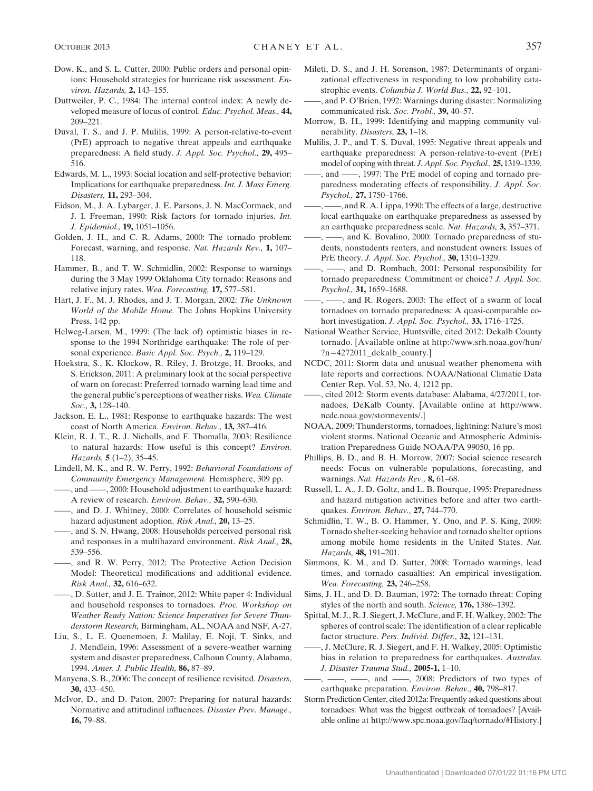- Dow, K., and S. L. Cutter, 2000: Public orders and personal opinions: Household strategies for hurricane risk assessment. Environ. Hazards, 2, 143-155.
- Duttweiler, P. C., 1984: The internal control index: A newly developed measure of locus of control. Educ. Psychol. Meas., 44, 209–221.
- Duval, T. S., and J. P. Mulilis, 1999: A person-relative-to-event (PrE) approach to negative threat appeals and earthquake preparedness: A field study. J. Appl. Soc. Psychol., 29, 495– 516.
- Edwards, M. L., 1993: Social location and self-protective behavior: Implications for earthquake preparedness. Int. J. Mass Emerg. Disasters, 11, 293–304.
- Eidson, M., J. A. Lybarger, J. E. Parsons, J. N. MacCormack, and J. I. Freeman, 1990: Risk factors for tornado injuries. Int. J. Epidemiol., 19, 1051–1056.
- Golden, J. H., and C. R. Adams, 2000: The tornado problem: Forecast, warning, and response. Nat. Hazards Rev., 1, 107– 118.
- Hammer, B., and T. W. Schmidlin, 2002: Response to warnings during the 3 May 1999 Oklahoma City tornado: Reasons and relative injury rates. Wea. Forecasting, 17, 577-581.
- Hart, J. F., M. J. Rhodes, and J. T. Morgan, 2002: The Unknown World of the Mobile Home. The Johns Hopkins University Press, 142 pp.
- Helweg-Larsen, M., 1999: (The lack of) optimistic biases in response to the 1994 Northridge earthquake: The role of personal experience. Basic Appl. Soc. Psych., 2, 119-129.
- Hoekstra, S., K. Klockow, R. Riley, J. Brotzge, H. Brooks, and S. Erickson, 2011: A preliminary look at the social perspective of warn on forecast: Preferred tornado warning lead time and the general public's perceptions of weather risks. Wea. Climate Soc., 3, 128-140.
- Jackson, E. L., 1981: Response to earthquake hazards: The west coast of North America. Environ. Behav., 13, 387-416.
- Klein, R. J. T., R. J. Nicholls, and F. Thomalla, 2003: Resilience to natural hazards: How useful is this concept? Environ. Hazards, 5 (1–2), 35–45.
- Lindell, M. K., and R. W. Perry, 1992: Behavioral Foundations of Community Emergency Management. Hemisphere, 309 pp.
- -, and  $\frac{1}{2000}$ : Household adjustment to earthquake hazard: A review of research. Environ. Behav., 32, 590-630.
- ——, and D. J. Whitney, 2000: Correlates of household seismic hazard adjustment adoption. Risk Anal., 20, 13–25.
- ——, and S. N. Hwang, 2008: Households perceived personal risk and responses in a multihazard environment. Risk Anal., 28, 539–556.
- ——, and R. W. Perry, 2012: The Protective Action Decision Model: Theoretical modifications and additional evidence. Risk Anal., 32, 616–632.
- ——, D. Sutter, and J. E. Trainor, 2012: White paper 4: Individual and household responses to tornadoes. Proc. Workshop on Weather Ready Nation: Science Imperatives for Severe Thunderstorm Research, Birmingham, AL, NOAA and NSF, A-27.
- Liu, S., L. E. Quenemoen, J. Malilay, E. Noji, T. Sinks, and J. Mendlein, 1996: Assessment of a severe-weather warning system and disaster preparedness, Calhoun County, Alabama, 1994. Amer. J. Public Health, 86, 87–89.
- Manyena, S. B., 2006: The concept of resilience revisited. Disasters, 30, 433–450.
- McIvor, D., and D. Paton, 2007: Preparing for natural hazards: Normative and attitudinal influences. Disaster Prev. Manage., 16, 79–88.
- Mileti, D. S., and J. H. Sorenson, 1987: Determinants of organizational effectiveness in responding to low probability catastrophic events. Columbia J. World Bus., 22, 92–101.
- ——, and P. O'Brien, 1992: Warnings during disaster: Normalizing communicated risk. Soc. Probl., 39, 40–57.
- Morrow, B. H., 1999: Identifying and mapping community vulnerability. Disasters, 23, 1–18.
- Mulilis, J. P., and T. S. Duval, 1995: Negative threat appeals and earthquake preparedness: A person-relative-to-event (PrE) model of coping with threat. J. Appl. Soc. Psychol., 25, 1319–1339.
- ——, and ——, 1997: The PrE model of coping and tornado preparedness moderating effects of responsibility. J. Appl. Soc. Psychol., 27, 1750–1766.
- -, and R. A. Lippa, 1990: The effects of a large, destructive local earthquake on earthquake preparedness as assessed by an earthquake preparedness scale. Nat. Hazards, 3, 357–371.
- ——, ——, and K. Bovalino, 2000: Tornado preparedness of students, nonstudents renters, and nonstudent owners: Issues of PrE theory. J. Appl. Soc. Psychol., 30, 1310–1329.
- -, and D. Rombach, 2001: Personal responsibility for tornado preparedness: Commitment or choice? J. Appl. Soc. Psychol., 31, 1659–1688.
- ——, ——, and R. Rogers, 2003: The effect of a swarm of local tornadoes on tornado preparedness: A quasi-comparable cohort investigation. *J. Appl. Soc. Psychol.*, 33, 1716–1725.
- National Weather Service, Huntsville, cited 2012: Dekalb County tornado. [Available online at [http://www.srh.noaa.gov/hun/](http://www.srh.noaa.gov/hun/?n=4272011_dekalb_county) [?n](http://www.srh.noaa.gov/hun/?n=4272011_dekalb_county)=[4272011\\_dekalb\\_county.](http://www.srh.noaa.gov/hun/?n=4272011_dekalb_county)]
- NCDC, 2011: Storm data and unusual weather phenomena with late reports and corrections. NOAA/National Climatic Data Center Rep. Vol. 53, No. 4, 1212 pp.
- ——, cited 2012: Storm events database: Alabama, 4/27/2011, tornadoes, DeKalb County. [Available online at [http://www.](http://www.ncdc.noaa.gov/stormevents/) [ncdc.noaa.gov/stormevents/](http://www.ncdc.noaa.gov/stormevents/).]
- NOAA, 2009: Thunderstorms, tornadoes, lightning: Nature's most violent storms. National Oceanic and Atmospheric Administration Preparedness Guide NOAA/PA 99050, 16 pp.
- Phillips, B. D., and B. H. Morrow, 2007: Social science research needs: Focus on vulnerable populations, forecasting, and warnings. Nat. Hazards Rev., 8, 61–68.
- Russell, L. A., J. D. Goltz, and L. B. Bourque, 1995: Preparedness and hazard mitigation activities before and after two earthquakes. Environ. Behav., 27, 744–770.
- Schmidlin, T. W., B. O. Hammer, Y. Ono, and P. S. King, 2009: Tornado shelter-seeking behavior and tornado shelter options among mobile home residents in the United States. Nat. Hazards, 48, 191–201.
- Simmons, K. M., and D. Sutter, 2008: Tornado warnings, lead times, and tornado casualties: An empirical investigation. Wea. Forecasting, 23, 246-258.
- Sims, J. H., and D. D. Bauman, 1972: The tornado threat: Coping styles of the north and south. Science, 176, 1386–1392.
- Spittal, M. J., R. J. Siegert, J. McClure, and F. H. Walkey, 2002: The spheres of control scale: The identification of a clear replicable factor structure. Pers. Individ. Differ., 32, 121–131.
- ——, J. McClure, R. J. Siegert, and F. H. Walkey, 2005: Optimistic bias in relation to preparedness for earthquakes. Australas. J. Disaster Trauma Stud., 2005-1, 1–10.
- $\ldots$ ,  $\ldots$ , and  $\ldots$ , 2008: Predictors of two types of earthquake preparation. Environ. Behav., 40, 798–817.
- Storm Prediction Center, cited 2012a: Frequently asked questions about tornadoes: What was the biggest outbreak of tornadoes? [Available online at<http://www.spc.noaa.gov/faq/tornado/#History>.]